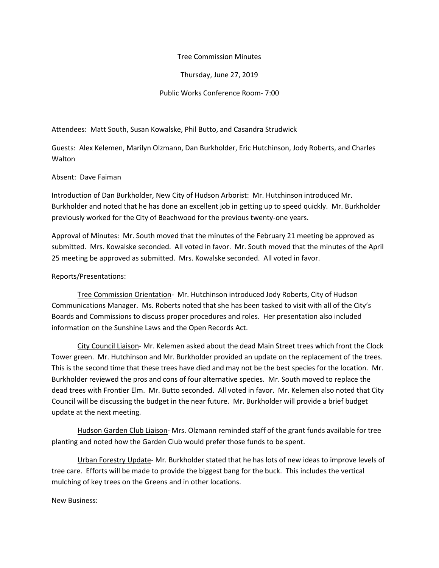## Tree Commission Minutes

Thursday, June 27, 2019

Public Works Conference Room- 7:00

## Attendees: Matt South, Susan Kowalske, Phil Butto, and Casandra Strudwick

Guests: Alex Kelemen, Marilyn Olzmann, Dan Burkholder, Eric Hutchinson, Jody Roberts, and Charles Walton

## Absent: Dave Faiman

Introduction of Dan Burkholder, New City of Hudson Arborist: Mr. Hutchinson introduced Mr. Burkholder and noted that he has done an excellent job in getting up to speed quickly. Mr. Burkholder previously worked for the City of Beachwood for the previous twenty-one years.

Approval of Minutes: Mr. South moved that the minutes of the February 21 meeting be approved as submitted. Mrs. Kowalske seconded. All voted in favor. Mr. South moved that the minutes of the April 25 meeting be approved as submitted. Mrs. Kowalske seconded. All voted in favor.

## Reports/Presentations:

Tree Commission Orientation- Mr. Hutchinson introduced Jody Roberts, City of Hudson Communications Manager. Ms. Roberts noted that she has been tasked to visit with all of the City's Boards and Commissions to discuss proper procedures and roles. Her presentation also included information on the Sunshine Laws and the Open Records Act.

City Council Liaison- Mr. Kelemen asked about the dead Main Street trees which front the Clock Tower green. Mr. Hutchinson and Mr. Burkholder provided an update on the replacement of the trees. This is the second time that these trees have died and may not be the best species for the location. Mr. Burkholder reviewed the pros and cons of four alternative species. Mr. South moved to replace the dead trees with Frontier Elm. Mr. Butto seconded. All voted in favor. Mr. Kelemen also noted that City Council will be discussing the budget in the near future. Mr. Burkholder will provide a brief budget update at the next meeting.

Hudson Garden Club Liaison- Mrs. Olzmann reminded staff of the grant funds available for tree planting and noted how the Garden Club would prefer those funds to be spent.

Urban Forestry Update- Mr. Burkholder stated that he has lots of new ideas to improve levels of tree care. Efforts will be made to provide the biggest bang for the buck. This includes the vertical mulching of key trees on the Greens and in other locations.

New Business: